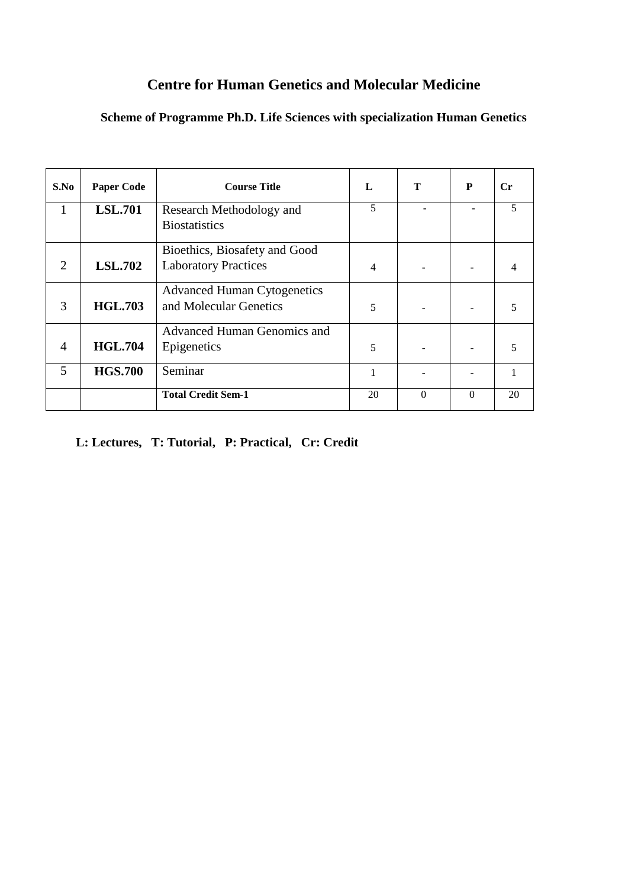# **Centre for Human Genetics and Molecular Medicine**

# **Scheme of Programme Ph.D. Life Sciences with specialization Human Genetics**

| S.No                        | <b>Paper Code</b> | <b>Course Title</b>                                          | L  | T        | P        | $C_{r}$                  |
|-----------------------------|-------------------|--------------------------------------------------------------|----|----------|----------|--------------------------|
| 1                           | <b>LSL.701</b>    | Research Methodology and<br><b>Biostatistics</b>             | 5  |          |          | $\overline{\mathcal{L}}$ |
| $\mathcal{D}_{\mathcal{A}}$ | <b>LSL.702</b>    | Bioethics, Biosafety and Good<br><b>Laboratory Practices</b> | 4  |          |          |                          |
| 3                           | <b>HGL.703</b>    | <b>Advanced Human Cytogenetics</b><br>and Molecular Genetics | 5  |          |          |                          |
| $\overline{4}$              | <b>HGL.704</b>    | Advanced Human Genomics and<br>Epigenetics                   | 5  |          |          | 5                        |
| 5                           | <b>HGS.700</b>    | Seminar                                                      |    |          |          |                          |
|                             |                   | <b>Total Credit Sem-1</b>                                    | 20 | $\Omega$ | $\Omega$ | 20                       |

# **L: Lectures, T: Tutorial, P: Practical, Cr: Credit**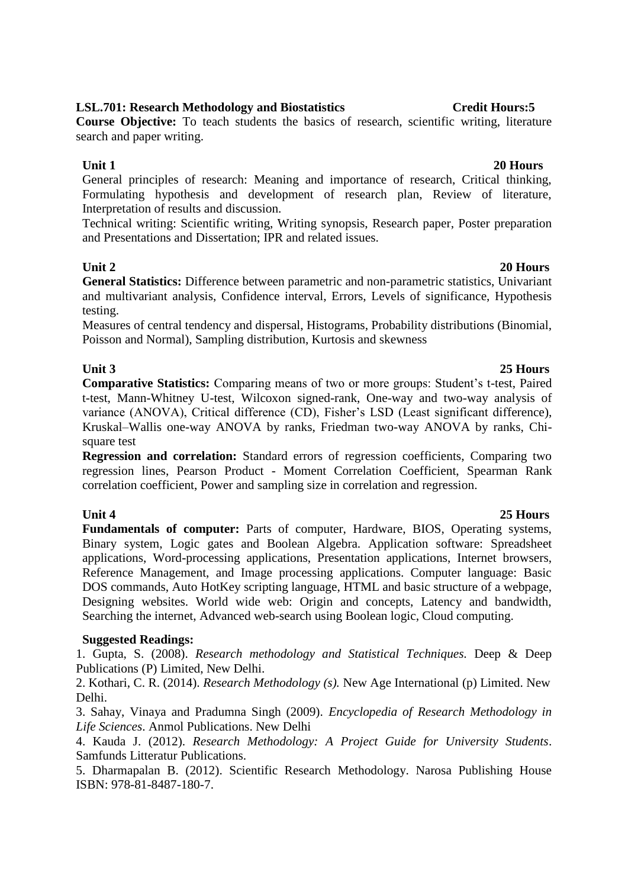# **LSL.701: Research Methodology and Biostatistics Credit Hours:5**

**Course Objective:** To teach students the basics of research, scientific writing, literature search and paper writing.

General principles of research: Meaning and importance of research, Critical thinking, Formulating hypothesis and development of research plan, Review of literature, Interpretation of results and discussion.

Technical writing: Scientific writing, Writing synopsis, Research paper, Poster preparation and Presentations and Dissertation; IPR and related issues.

**Unit 2 20 Hours General Statistics:** Difference between parametric and non-parametric statistics, Univariant and multivariant analysis, Confidence interval, Errors, Levels of significance, Hypothesis testing.

Measures of central tendency and dispersal, Histograms, Probability distributions (Binomial, Poisson and Normal), Sampling distribution, Kurtosis and skewness

## **Unit 3 25 Hours**

**Comparative Statistics:** Comparing means of two or more groups: Student's t-test, Paired t-test, Mann-Whitney U-test, Wilcoxon signed-rank, One-way and two-way analysis of variance (ANOVA), Critical difference (CD), Fisher's LSD (Least significant difference), Kruskal–Wallis one-way ANOVA by ranks, Friedman two-way ANOVA by ranks, Chisquare test

**Regression and correlation:** Standard errors of regression coefficients, Comparing two regression lines, Pearson Product - Moment Correlation Coefficient, Spearman Rank correlation coefficient, Power and sampling size in correlation and regression.

**Unit 4 25 Hours Fundamentals of computer:** Parts of computer, Hardware, BIOS, Operating systems, Binary system, Logic gates and Boolean Algebra. Application software: Spreadsheet applications, Word-processing applications, Presentation applications, Internet browsers, Reference Management, and Image processing applications. Computer language: Basic DOS commands, Auto HotKey scripting language, HTML and basic structure of a webpage, Designing websites. World wide web: Origin and concepts, Latency and bandwidth, Searching the internet, Advanced web-search using Boolean logic, Cloud computing.

### **Suggested Readings:**

1. Gupta, S. (2008). *Research methodology and Statistical Techniques.* Deep & Deep Publications (P) Limited, New Delhi.

2. Kothari, C. R. (2014). *Research Methodology (s).* New Age International (p) Limited. New Delhi.

3. Sahay, Vinaya and Pradumna Singh (2009). *Encyclopedia of Research Methodology in Life Sciences*. Anmol Publications. New Delhi

4. Kauda J. (2012). *Research Methodology: A Project Guide for University Students*. Samfunds Litteratur Publications.

5. Dharmapalan B. (2012). Scientific Research Methodology. Narosa Publishing House ISBN: 978-81-8487-180-7.

### **Unit 1 20 Hours**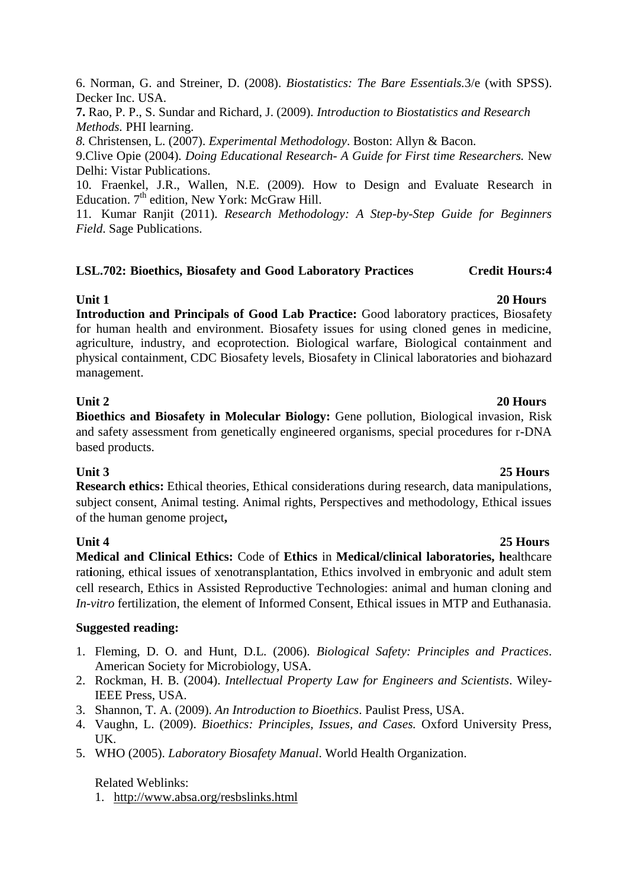6. Norman, G. and Streiner, D. (2008). *Biostatistics: The Bare Essentials.*3/e (with SPSS). Decker Inc. USA.

**7.** Rao, P. P., S. Sundar and Richard, J. (2009). *Introduction to Biostatistics and Research Methods.* PHI learning.

*8.* Christensen, L. (2007). *Experimental Methodology*. Boston: Allyn & Bacon.

9.Clive Opie (2004). *Doing Educational Research- A Guide for First time Researchers.* New Delhi: Vistar Publications.

10. Fraenkel, J.R., Wallen, N.E. (2009). How to Design and Evaluate Research in Education.  $7<sup>th</sup>$  edition, New York: McGraw Hill.

11. Kumar Ranjit (2011). *Research Methodology: A Step-by-Step Guide for Beginners Field*. Sage Publications.

### **LSL.702: Bioethics, Biosafety and Good Laboratory Practices Credit Hours:4**

### **Unit 1 20 Hours**

**Introduction and Principals of Good Lab Practice:** Good laboratory practices, Biosafety for human health and environment. Biosafety issues for using cloned genes in medicine, agriculture, industry, and ecoprotection. Biological warfare, Biological containment and physical containment, CDC Biosafety levels, Biosafety in Clinical laboratories and biohazard management.

### **Unit 2 20 Hours**

**Bioethics and Biosafety in Molecular Biology:** Gene pollution, Biological invasion, Risk and safety assessment from genetically engineered organisms, special procedures for r-DNA based products.

### **Unit 3 25 Hours**

**Research ethics:** Ethical theories, Ethical considerations during research, data manipulations, subject consent, Animal testing. Animal rights, Perspectives and methodology, Ethical issues of the human genome project**,** 

**Unit 4 25 Hours Medical and Clinical Ethics:** Code of **Ethics** in **[Medical/clinical laboratories,](http://www.webcrawler.com/info.wbcrwl.305.05.ctrl/search/web?cid=116425824&ad.segment=info.wbcrwl.305.05&aid=aef43bb0-9fef-4395-9883-705ea675420a&ridx=1&q=Code%20Of%20Ethics%20Medical&fcoid=302359&fcop=bottom&fpid=2&qlnk=True) he**althcare rat**i**oning, ethical issues of xenotransplantation, Ethics involved in embryonic and adult stem cell research, Ethics in Assisted Reproductive Technologies: animal and human cloning and *In-vitro* fertilization, the element of Informed Consent, Ethical issues in MTP and Euthanasia.

### **Suggested reading:**

- 1. Fleming, D. O. and Hunt, D.L. (2006). *Biological Safety: Principles and Practices*. American Society for Microbiology, USA.
- 2. Rockman, H. B. (2004). *Intellectual Property Law for Engineers and Scientists*. Wiley-IEEE Press, USA.
- 3. Shannon, T. A. (2009). *An Introduction to Bioethics*. Paulist Press, USA.
- 4. Vaughn, L. (2009). *Bioethics: Principles, Issues, and Cases.* Oxford University Press, UK.
- 5. WHO (2005). *Laboratory Biosafety Manual*. World Health Organization.

## Related Weblinks:

1. <http://www.absa.org/resbslinks.html>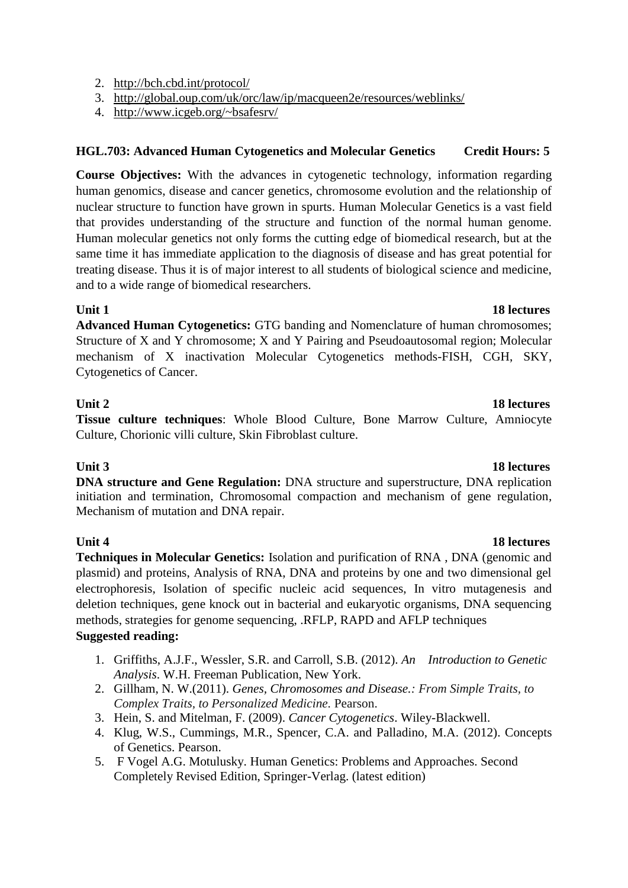- 2. <http://bch.cbd.int/protocol/>
- 3. <http://global.oup.com/uk/orc/law/ip/macqueen2e/resources/weblinks/>
- 4. <http://www.icgeb.org/~bsafesrv/>

### **HGL.703: Advanced Human Cytogenetics and Molecular Genetics Credit Hours: 5**

**Course Objectives:** With the advances in cytogenetic technology, information regarding human genomics, disease and cancer genetics, chromosome evolution and the relationship of nuclear structure to function have grown in spurts. Human Molecular Genetics is a vast field that provides understanding of the structure and function of the normal human genome. Human molecular genetics not only forms the cutting edge of biomedical research, but at the same time it has immediate application to the diagnosis of disease and has great potential for treating disease. Thus it is of major interest to all students of biological science and medicine, and to a wide range of biomedical researchers.

### **Unit 1** 18 lectures

**Advanced Human Cytogenetics:** GTG banding and Nomenclature of human chromosomes; Structure of X and Y chromosome; X and Y Pairing and Pseudoautosomal region; Molecular mechanism of X inactivation Molecular Cytogenetics methods-FISH, CGH, SKY, Cytogenetics of Cancer.

**Tissue culture techniques**: Whole Blood Culture, Bone Marrow Culture, Amniocyte Culture, Chorionic villi culture, Skin Fibroblast culture.

**DNA structure and Gene Regulation:** DNA structure and superstructure, DNA replication initiation and termination, Chromosomal compaction and mechanism of gene regulation, Mechanism of mutation and DNA repair.

### **Unit 4** 18 lectures

**Techniques in Molecular Genetics:** Isolation and purification of RNA , DNA (genomic and plasmid) and proteins, Analysis of RNA, DNA and proteins by one and two dimensional gel electrophoresis, Isolation of specific nucleic acid sequences, In vitro mutagenesis and deletion techniques, gene knock out in bacterial and eukaryotic organisms, DNA sequencing methods, strategies for genome sequencing, .RFLP, RAPD and AFLP techniques

### **Suggested reading:**

- 1. Griffiths, A.J.F., Wessler, S.R. and Carroll, S.B. (2012). *An Introduction to Genetic Analysis*. W.H. Freeman Publication, New York.
- 2. Gillham, N. W.(2011). *Genes, Chromosomes and Disease.: From Simple Traits, to Complex Traits, to Personalized Medicine.* Pearson.
- 3. Hein, S. and Mitelman, F. (2009). *Cancer Cytogenetics*. Wiley-Blackwell.
- 4. Klug, W.S., Cummings, M.R., Spencer, C.A. and Palladino, M.A. (2012). Concepts of Genetics. Pearson.
- 5. F Vogel A.G. Motulusky. Human Genetics: Problems and Approaches. Second Completely Revised Edition, Springer-Verlag. (latest edition)

### **Unit 3** 18 lectures

# **Unit 2** 18 lectures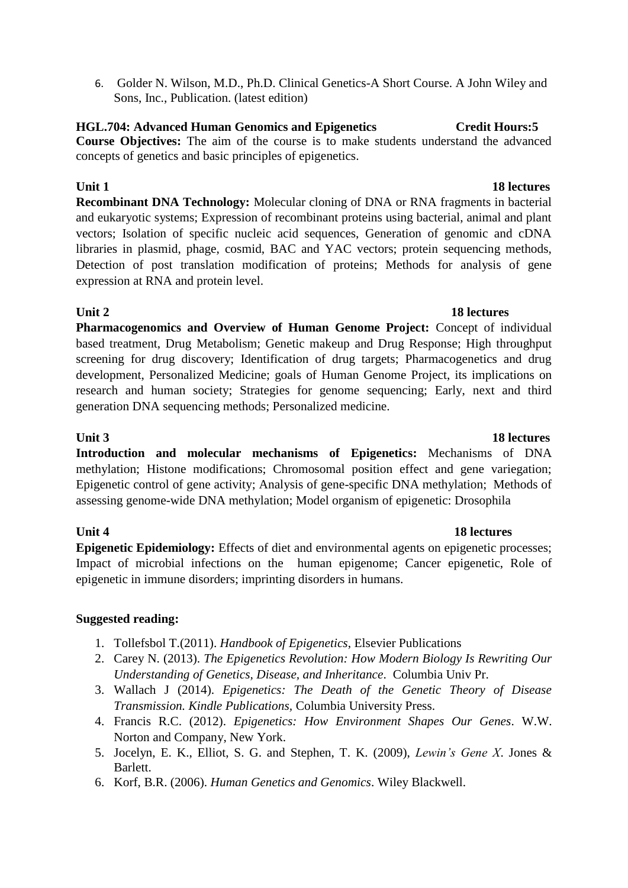6. Golder N. Wilson, M.D., Ph.D. Clinical Genetics-A Short Course. A John Wiley and Sons, Inc., Publication. (latest edition)

### **HGL.704: Advanced Human Genomics and Epigenetics Credit Hours:5 Course Objectives:** The aim of the course is to make students understand the advanced concepts of genetics and basic principles of epigenetics.

# **Unit 1** 18 lectures **Recombinant DNA Technology:** Molecular cloning of DNA or RNA fragments in bacterial and eukaryotic systems; Expression of recombinant proteins using bacterial, animal and plant vectors; Isolation of specific nucleic acid sequences, Generation of genomic and cDNA libraries in plasmid, phage, cosmid, BAC and YAC vectors; protein sequencing methods, Detection of post translation modification of proteins; Methods for analysis of gene expression at RNA and protein level.

## **Unit 2** 18 lectures

**Pharmacogenomics and Overview of Human Genome Project:** Concept of individual based treatment, Drug Metabolism; Genetic makeup and Drug Response; High throughput screening for drug discovery; Identification of drug targets; Pharmacogenetics and drug development, Personalized Medicine; goals of Human Genome Project, its implications on research and human society; Strategies for genome sequencing; Early, next and third generation DNA sequencing methods; Personalized medicine.

**Unit 3 18 lectures Introduction and molecular mechanisms of Epigenetics:** Mechanisms of DNA methylation; Histone modifications; Chromosomal position effect and gene variegation; Epigenetic control of gene activity; Analysis of gene-specific DNA methylation; Methods of assessing genome-wide DNA methylation; Model organism of epigenetic: Drosophila

### **Unit 4 18 lectures**

**Epigenetic Epidemiology:** Effects of diet and environmental agents on epigenetic processes; Impact of microbial infections on the human epigenome; Cancer epigenetic, Role of epigenetic in immune disorders; imprinting disorders in humans.

# **Suggested reading:**

- 1. Tollefsbol T.(2011). *Handbook of Epigenetics*, Elsevier Publications
- 2. Carey N. (2013). *The Epigenetics Revolution: How Modern Biology Is Rewriting Our Understanding of Genetics, Disease, and Inheritance*. Columbia Univ Pr.
- 3. Wallach J (2014). *Epigenetics: The Death of the Genetic Theory of Disease Transmission. Kindle Publications,* Columbia University Press.
- 4. Francis R.C. (2012). *Epigenetics: How Environment Shapes Our Genes*. W.W. Norton and Company, New York.
- 5. Jocelyn, E. K., Elliot, S. G. and Stephen, T. K. (2009), *Lewin's Gene X*. Jones & Barlett.
- 6. Korf, B.R. (2006). *Human Genetics and Genomics*. Wiley Blackwell.